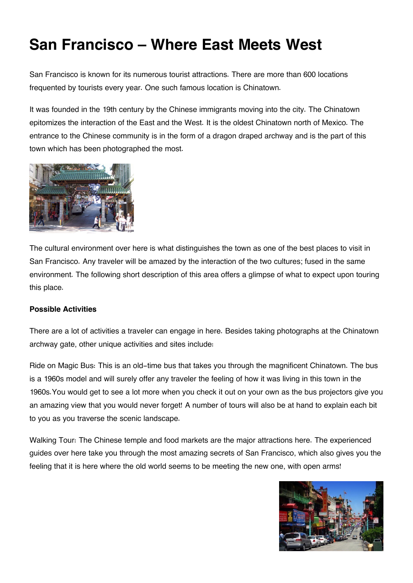## **San Francisco – Where East Meets West**

San Francisco is known for its numerous tourist attractions. There are more than 600 locations frequented by tourists every year. One such famous location is Chinatown.

It was founded in the 19th century by the Chinese immigrants moving into the city. The Chinatown epitomizes the interaction of the East and the West. It is the oldest Chinatown north of Mexico. The entrance to the Chinese community is in the form of a dragon draped archway and is the part of this town which has been photographed the most.



The cultural environment over here is what distinguishes the town as one of the best places to visit in San Francisco. Any traveler will be amazed by the interaction of the two cultures; fused in the same environment. The following short description of this area offers a glimpse of what to expect upon touring this place.

## **Possible Activities**

There are a lot of activities a traveler can engage in here. Besides taking photographs at the Chinatown archway gate, other unique activities and sites include:

Ride on Magic Bus: This is an old-time bus that takes you through the magnificent Chinatown. The bus is a 1960s model and will surely offer any traveler the feeling of how it was living in this town in the 1960s.You would get to see a lot more when you check it out on your own as the bus projectors give you an amazing view that you would never forget! A number of tours will also be at hand to explain each bit to you as you traverse the scenic landscape.

Walking Tour: The Chinese temple and food markets are the major attractions here. The experienced guides over here take you through the most amazing secrets of San Francisco, which also gives you the feeling that it is here where the old world seems to be meeting the new one, with open arms!